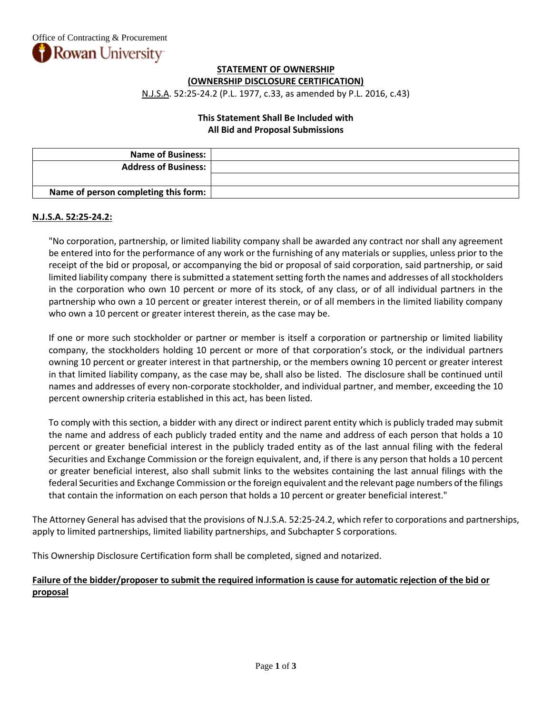## **STATEMENT OF OWNERSHIP (OWNERSHIP DISCLOSURE CERTIFICATION)**

N.J.S.A. 52:25-24.2 (P.L. 1977, c.33, as amended by P.L. 2016, c.43)

## **This Statement Shall Be Included with All Bid and Proposal Submissions**

| <b>Name of Business:</b>             |  |
|--------------------------------------|--|
| <b>Address of Business:</b>          |  |
|                                      |  |
| Name of person completing this form: |  |

## **N.J.S.A. 52:25-24.2:**

"No corporation, partnership, or limited liability company shall be awarded any contract nor shall any agreement be entered into for the performance of any work or the furnishing of any materials or supplies, unless prior to the receipt of the bid or proposal, or accompanying the bid or proposal of said corporation, said partnership, or said limited liability company there is submitted a statement setting forth the names and addresses of all stockholders in the corporation who own 10 percent or more of its stock, of any class, or of all individual partners in the partnership who own a 10 percent or greater interest therein, or of all members in the limited liability company who own a 10 percent or greater interest therein, as the case may be.

If one or more such stockholder or partner or member is itself a corporation or partnership or limited liability company, the stockholders holding 10 percent or more of that corporation's stock, or the individual partners owning 10 percent or greater interest in that partnership, or the members owning 10 percent or greater interest in that limited liability company, as the case may be, shall also be listed. The disclosure shall be continued until names and addresses of every non-corporate stockholder, and individual partner, and member, exceeding the 10 percent ownership criteria established in this act, has been listed.

To comply with this section, a bidder with any direct or indirect parent entity which is publicly traded may submit the name and address of each publicly traded entity and the name and address of each person that holds a 10 percent or greater beneficial interest in the publicly traded entity as of the last annual filing with the federal Securities and Exchange Commission or the foreign equivalent, and, if there is any person that holds a 10 percent or greater beneficial interest, also shall submit links to the websites containing the last annual filings with the federal Securities and Exchange Commission or the foreign equivalent and the relevant page numbers of the filings that contain the information on each person that holds a 10 percent or greater beneficial interest."

The Attorney General has advised that the provisions of N.J.S.A. 52:25-24.2, which refer to corporations and partnerships, apply to limited partnerships, limited liability partnerships, and Subchapter S corporations.

This Ownership Disclosure Certification form shall be completed, signed and notarized.

# **Failure of the bidder/proposer to submit the required information is cause for automatic rejection of the bid or proposal**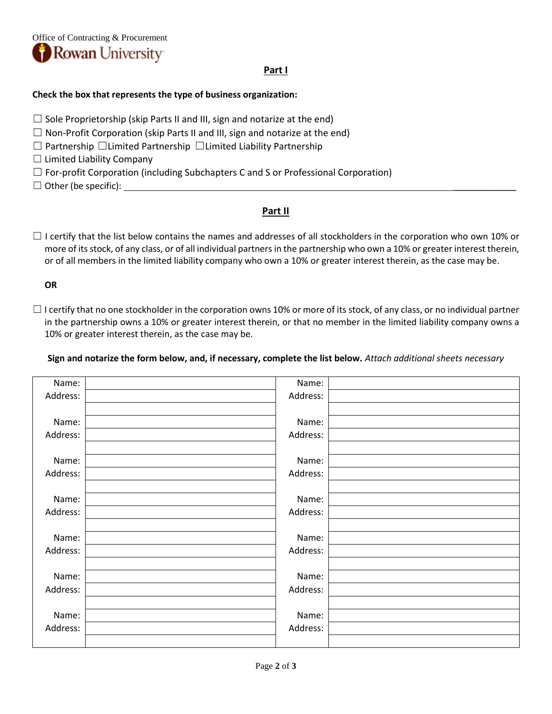

## **Part I**

### **Check the box that represents the type of business organization:**

- $\Box$  Sole Proprietorship (skip Parts II and III, sign and notarize at the end)
- $\Box$  Non-Profit Corporation (skip Parts II and III, sign and notarize at the end)
- ☐ Partnership ☐Limited Partnership ☐Limited Liability Partnership
- $\Box$  Limited Liability Company
- $\Box$  For-profit Corporation (including Subchapters C and S or Professional Corporation)
- $\Box$  Other (be specific):  $\Box$

## **Part II**

 $\Box$  I certify that the list below contains the names and addresses of all stockholders in the corporation who own 10% or more of its stock, of any class, or of all individual partners in the partnership who own a 10% or greater interest therein, or of all members in the limited liability company who own a 10% or greater interest therein, as the case may be.

## **OR**

 $\Box$  I certify that no one stockholder in the corporation owns 10% or more of its stock, of any class, or no individual partner in the partnership owns a 10% or greater interest therein, or that no member in the limited liability company owns a 10% or greater interest therein, as the case may be.

**Sign and notarize the form below, and, if necessary, complete the list below.** *Attach additional sheets necessary*

| Name:    | Name:    |  |
|----------|----------|--|
| Address: | Address: |  |
|          |          |  |
| Name:    | Name:    |  |
| Address: | Address: |  |
|          |          |  |
| Name:    | Name:    |  |
| Address: | Address: |  |
|          |          |  |
| Name:    | Name:    |  |
| Address: | Address: |  |
|          |          |  |
| Name:    | Name:    |  |
| Address: | Address: |  |
|          |          |  |
| Name:    | Name:    |  |
| Address: | Address: |  |
|          |          |  |
| Name:    | Name:    |  |
| Address: | Address: |  |
|          |          |  |